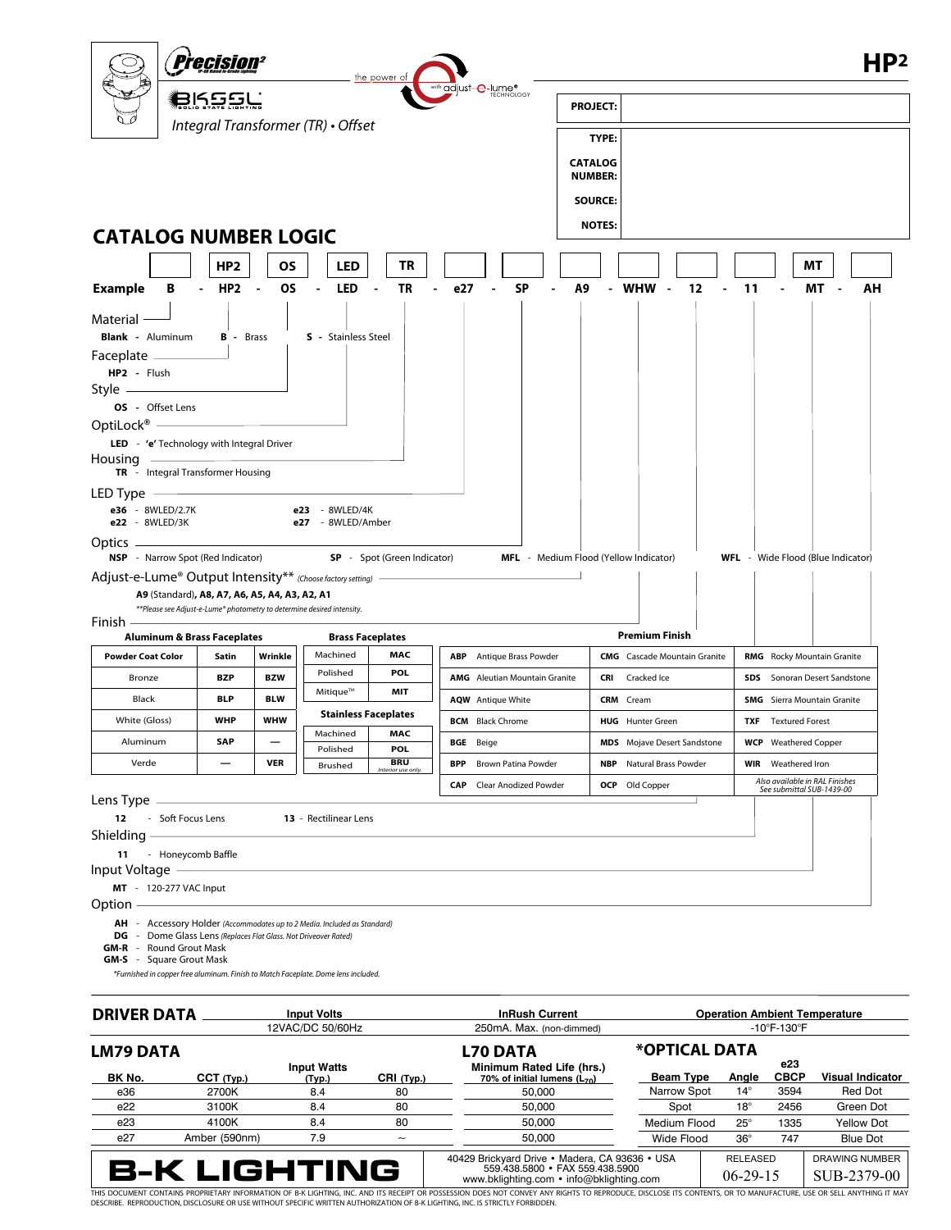

 *\*Furnished in copper free aluminum. Finish to Match Faceplate. Dome lens included.*

| <b>DRIVER DATA</b>  |               | <b>Input Volts</b><br>12VAC/DC 50/60Hz |            | <b>InRush Current</b>                                                                                                                                                                                                                                                                                                                              |                                  | <b>Operation Ambient Temperature</b> |              |                                      |                         |  |
|---------------------|---------------|----------------------------------------|------------|----------------------------------------------------------------------------------------------------------------------------------------------------------------------------------------------------------------------------------------------------------------------------------------------------------------------------------------------------|----------------------------------|--------------------------------------|--------------|--------------------------------------|-------------------------|--|
|                     |               |                                        |            | 250mA. Max. (non-dimmed)                                                                                                                                                                                                                                                                                                                           | $-10^{\circ}$ F-130 $^{\circ}$ F |                                      |              |                                      |                         |  |
| <b>LM79 DATA</b>    |               |                                        |            | <b>L70 DATA</b>                                                                                                                                                                                                                                                                                                                                    | *OPTICAL DATA<br>e23             |                                      |              |                                      |                         |  |
| BK No.              | CCT (Tvp.)    | <b>Input Watts</b><br>(Tvp.)           | CRI (Typ.) | Minimum Rated Life (hrs.)<br>70% of initial lumens $(L_{70})$                                                                                                                                                                                                                                                                                      | <b>Beam Type</b>                 |                                      | Angle        | <b>CBCP</b>                          | <b>Visual Indicator</b> |  |
| e36                 | 2700K         | 8.4                                    | 80         | 50.000                                                                                                                                                                                                                                                                                                                                             | Narrow Spot                      |                                      | $14^{\circ}$ | 3594                                 | Red Dot                 |  |
| e22                 | 3100K         | 8.4                                    | 80         | 50.000                                                                                                                                                                                                                                                                                                                                             | Spot                             |                                      | $18^\circ$   | 2456                                 | Green Dot               |  |
| e23                 | 4100K         | 8.4                                    | 80         | 50,000                                                                                                                                                                                                                                                                                                                                             | Medium Flood                     |                                      | $25^\circ$   | 1335                                 | <b>Yellow Dot</b>       |  |
| e27                 | Amber (590nm) | 7.9                                    | ~          | 50.000                                                                                                                                                                                                                                                                                                                                             | Wide Flood                       |                                      | $36^\circ$   | 747                                  | <b>Blue Dot</b>         |  |
| <b>B-K LIGHTING</b> |               |                                        |            | 40429 Brickyard Drive • Madera, CA 93636 • USA<br>559,438,5800 · FAX 559,438,5900<br>www.bklighting.com • info@bklighting.com                                                                                                                                                                                                                      |                                  | <b>RELEASED</b><br>$06 - 29 - 15$    |              | <b>DRAWING NUMBER</b><br>SUB-2379-00 |                         |  |
|                     |               |                                        |            | THIS DOCUMENT CONTAINS PROPRIETARY INFORMATION OF B-K LIGHTING, INC. AND ITS RECEIPT OR POSSESSION DOES NOT CONVEY ANY RIGHTS TO REPRODUCE, DISCLOSE ITS CONTENTS, OR TO MANUFACTURE, USE OR SELL ANYTHING IT MAY<br>DESCRIBE. REPRODUCTION, DISCLOSURE OR USE WITHOUT SPECIFIC WRITTEN AUTHORIZATION OF B-K LIGHTING, INC. IS STRICTLY FORBIDDEN. |                                  |                                      |              |                                      |                         |  |